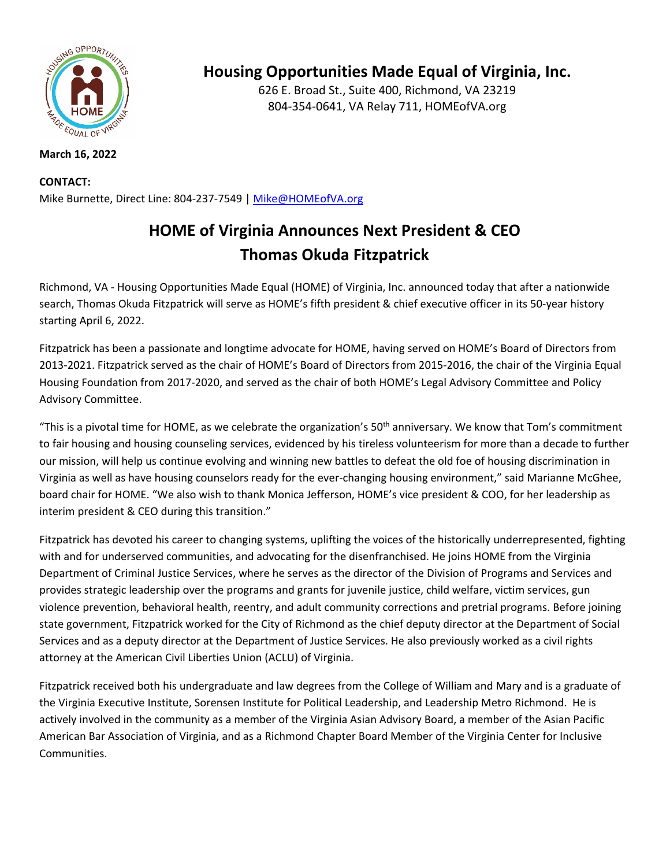

### **March 16, 2022**

#### **CONTACT:**

Mike Burnette, Direct Line: 804-237-7549 | Mike@HOMEofVA.org

# **HOME of Virginia Announces Next President & CEO Thomas Okuda Fitzpatrick**

Richmond, VA ‐ Housing Opportunities Made Equal (HOME) of Virginia, Inc. announced today that after a nationwide search, Thomas Okuda Fitzpatrick will serve as HOME's fifth president & chief executive officer in its 50‐year history starting April 6, 2022.

Fitzpatrick has been a passionate and longtime advocate for HOME, having served on HOME's Board of Directors from 2013‐2021. Fitzpatrick served as the chair of HOME's Board of Directors from 2015‐2016, the chair of the Virginia Equal Housing Foundation from 2017‐2020, and served as the chair of both HOME's Legal Advisory Committee and Policy Advisory Committee.

"This is a pivotal time for HOME, as we celebrate the organization's  $50<sup>th</sup>$  anniversary. We know that Tom's commitment to fair housing and housing counseling services, evidenced by his tireless volunteerism for more than a decade to further our mission, will help us continue evolving and winning new battles to defeat the old foe of housing discrimination in Virginia as well as have housing counselors ready for the ever‐changing housing environment," said Marianne McGhee, board chair for HOME. "We also wish to thank Monica Jefferson, HOME's vice president & COO, for her leadership as interim president & CEO during this transition."

Fitzpatrick has devoted his career to changing systems, uplifting the voices of the historically underrepresented, fighting with and for underserved communities, and advocating for the disenfranchised. He joins HOME from the Virginia Department of Criminal Justice Services, where he serves as the director of the Division of Programs and Services and provides strategic leadership over the programs and grants for juvenile justice, child welfare, victim services, gun violence prevention, behavioral health, reentry, and adult community corrections and pretrial programs. Before joining state government, Fitzpatrick worked for the City of Richmond as the chief deputy director at the Department of Social Services and as a deputy director at the Department of Justice Services. He also previously worked as a civil rights attorney at the American Civil Liberties Union (ACLU) of Virginia.

Fitzpatrick received both his undergraduate and law degrees from the College of William and Mary and is a graduate of the Virginia Executive Institute, Sorensen Institute for Political Leadership, and Leadership Metro Richmond. He is actively involved in the community as a member of the Virginia Asian Advisory Board, a member of the Asian Pacific American Bar Association of Virginia, and as a Richmond Chapter Board Member of the Virginia Center for Inclusive Communities.

## **Housing Opportunities Made Equal of Virginia, Inc.**

626 E. Broad St., Suite 400, Richmond, VA 23219 804‐354‐0641, VA Relay 711, HOMEofVA.org